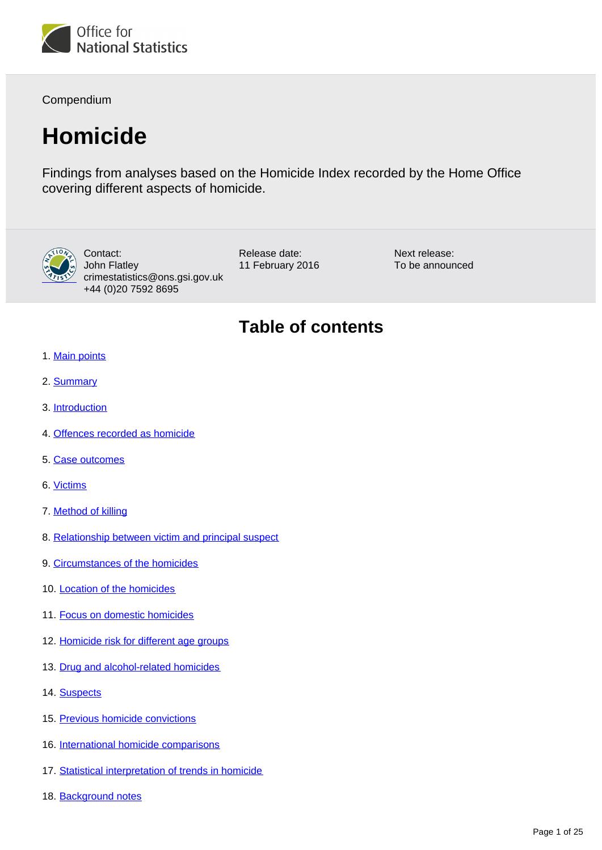

Compendium

# **Homicide**

Findings from analyses based on the Homicide Index recorded by the Home Office covering different aspects of homicide.



Contact: John Flatley crimestatistics@ons.gsi.gov.uk +44 (0)20 7592 8695

Release date: 11 February 2016 Next release: To be announced

# **Table of contents**

- 1. [Main points](#page-1-0)
- 2. [Summary](#page-1-1)
- 3. [Introduction](#page-1-2)
- 4. [Offences recorded as homicide](#page-2-0)
- 5. [Case outcomes](#page-5-0)
- 6. [Victims](#page-5-1)
- 7. [Method of killing](#page-7-0)
- 8. [Relationship between victim and principal suspect](#page-8-0)
- 9. [Circumstances of the homicides](#page-12-0)
- 10. [Location of the homicides](#page-12-1)
- 11. [Focus on domestic homicides](#page-13-0)
- 12. [Homicide risk for different age groups](#page-14-0)
- 13. [Drug and alcohol-related homicides](#page-16-0)
- 14. [Suspects](#page-16-1)
- 15. [Previous homicide convictions](#page-20-0)
- 16. [International homicide comparisons](#page-20-1)
- 17. [Statistical interpretation of trends in homicide](#page-21-0)
- 18. Background notes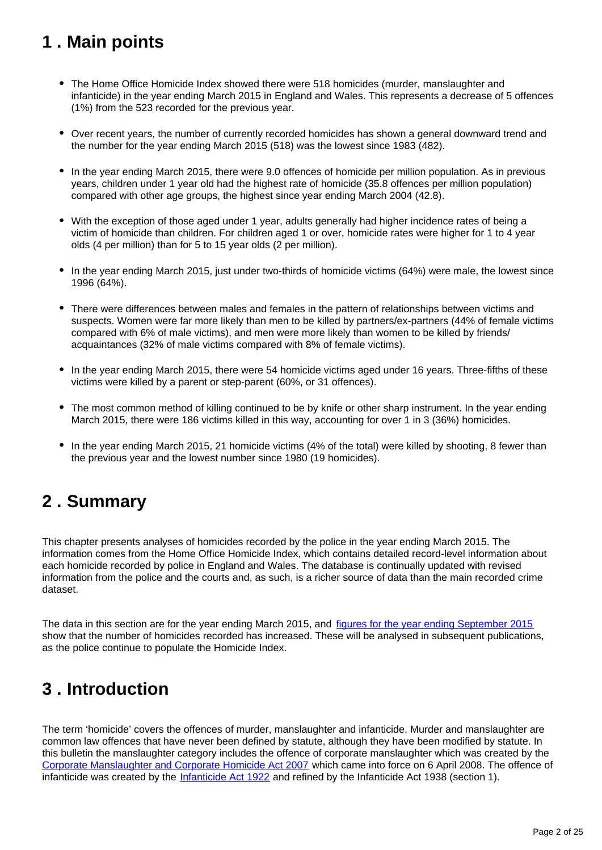# <span id="page-1-0"></span>**1 . Main points**

- The Home Office Homicide Index showed there were 518 homicides (murder, manslaughter and infanticide) in the year ending March 2015 in England and Wales. This represents a decrease of 5 offences (1%) from the 523 recorded for the previous year.
- Over recent years, the number of currently recorded homicides has shown a general downward trend and the number for the year ending March 2015 (518) was the lowest since 1983 (482).
- In the year ending March 2015, there were 9.0 offences of homicide per million population. As in previous years, children under 1 year old had the highest rate of homicide (35.8 offences per million population) compared with other age groups, the highest since year ending March 2004 (42.8).
- With the exception of those aged under 1 year, adults generally had higher incidence rates of being a victim of homicide than children. For children aged 1 or over, homicide rates were higher for 1 to 4 year olds (4 per million) than for 5 to 15 year olds (2 per million).
- In the year ending March 2015, just under two-thirds of homicide victims (64%) were male, the lowest since 1996 (64%).
- There were differences between males and females in the pattern of relationships between victims and suspects. Women were far more likely than men to be killed by partners/ex-partners (44% of female victims compared with 6% of male victims), and men were more likely than women to be killed by friends/ acquaintances (32% of male victims compared with 8% of female victims).
- In the year ending March 2015, there were 54 homicide victims aged under 16 years. Three-fifths of these victims were killed by a parent or step-parent (60%, or 31 offences).
- The most common method of killing continued to be by knife or other sharp instrument. In the year ending March 2015, there were 186 victims killed in this way, accounting for over 1 in 3 (36%) homicides.
- In the year ending March 2015, 21 homicide victims (4% of the total) were killed by shooting, 8 fewer than the previous year and the lowest number since 1980 (19 homicides).

# <span id="page-1-1"></span>**2 . Summary**

This chapter presents analyses of homicides recorded by the police in the year ending March 2015. The information comes from the Home Office Homicide Index, which contains detailed record-level information about each homicide recorded by police in England and Wales. The database is continually updated with revised information from the police and the courts and, as such, is a richer source of data than the main recorded crime dataset.

The data in this section are for the year ending March 2015, and [figures for the year ending September 2015](http://www.ons.gov.uk/ons/rel/crime-stats/crime-statistics/crime-in-england-and-wales---year-ending-september-2015/index.html) show that the number of homicides recorded has increased. These will be analysed in subsequent publications, as the police continue to populate the Homicide Index.

# <span id="page-1-2"></span>**3 . Introduction**

The term 'homicide' covers the offences of murder, manslaughter and infanticide. Murder and manslaughter are common law offences that have never been defined by statute, although they have been modified by statute. In this bulletin the manslaughter category includes the offence of corporate manslaughter which was created by the [Corporate Manslaughter and Corporate Homicide Act 2007](http://www.legislation.gov.uk/ukpga/2007/19/contents) which came into force on 6 April 2008. The offence of infanticide was created by the *[Infanticide Act 1922](http://www.legislation.gov.uk/ukpga/Geo6/1-2/36)* and refined by the Infanticide Act 1938 (section 1).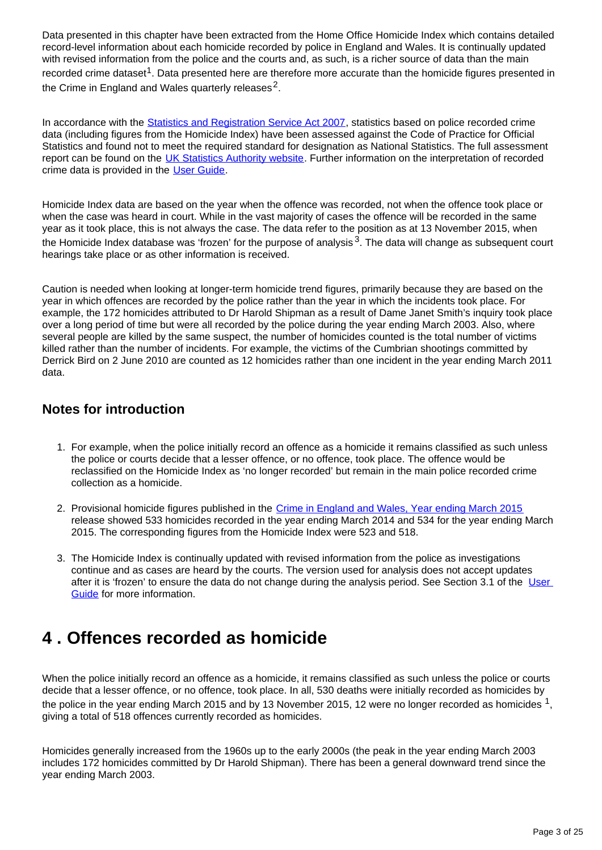Data presented in this chapter have been extracted from the Home Office Homicide Index which contains detailed record-level information about each homicide recorded by police in England and Wales. It is continually updated with revised information from the police and the courts and, as such, is a richer source of data than the main recorded crime dataset<sup>1</sup>. Data presented here are therefore more accurate than the homicide figures presented in the Crime in England and Wales quarterly releases<sup>2</sup>.

In accordance with the **[Statistics and Registration Service Act 2007](http://www.legislation.gov.uk/ukpga/2007/18/contents)**, statistics based on police recorded crime data (including figures from the Homicide Index) have been assessed against the Code of Practice for Official Statistics and found not to meet the required standard for designation as National Statistics. The full assessment report can be found on the [UK Statistics Authority website.](https://www.statisticsauthority.gov.uk/publication/statistics-on-crime-in-england-and-wales/) Further information on the interpretation of recorded crime data is provided in the [User Guide.](http://www.ons.gov.uk/ons/guide-method/method-quality/specific/crime-statistics-methodology/user-guides/index.html)

Homicide Index data are based on the year when the offence was recorded, not when the offence took place or when the case was heard in court. While in the vast majority of cases the offence will be recorded in the same year as it took place, this is not always the case. The data refer to the position as at 13 November 2015, when the Homicide Index database was 'frozen' for the purpose of analysis  $3$ . The data will change as subsequent court hearings take place or as other information is received.

Caution is needed when looking at longer-term homicide trend figures, primarily because they are based on the year in which offences are recorded by the police rather than the year in which the incidents took place. For example, the 172 homicides attributed to Dr Harold Shipman as a result of Dame Janet Smith's inquiry took place over a long period of time but were all recorded by the police during the year ending March 2003. Also, where several people are killed by the same suspect, the number of homicides counted is the total number of victims killed rather than the number of incidents. For example, the victims of the Cumbrian shootings committed by Derrick Bird on 2 June 2010 are counted as 12 homicides rather than one incident in the year ending March 2011 data.

## **Notes for introduction**

- 1. For example, when the police initially record an offence as a homicide it remains classified as such unless the police or courts decide that a lesser offence, or no offence, took place. The offence would be reclassified on the Homicide Index as 'no longer recorded' but remain in the main police recorded crime collection as a homicide.
- 2. Provisional homicide figures published in the [Crime in England and Wales, Year ending March 2015](http://www.ons.gov.uk/ons/rel/crime-stats/crime-statistics/year-ending-march-2015/index.html) release showed 533 homicides recorded in the year ending March 2014 and 534 for the year ending March 2015. The corresponding figures from the Homicide Index were 523 and 518.
- 3. The Homicide Index is continually updated with revised information from the police as investigations continue and as cases are heard by the courts. The version used for analysis does not accept updates after it is 'frozen' to ensure the data do not change during the analysis period. See Section 3.1 of the User [Guide](http://www.ons.gov.uk/ons/guide-method/method-quality/specific/crime-statistics-methodology/user-guides/index.html) for more information.

# <span id="page-2-0"></span>**4 . Offences recorded as homicide**

When the police initially record an offence as a homicide, it remains classified as such unless the police or courts decide that a lesser offence, or no offence, took place. In all, 530 deaths were initially recorded as homicides by the police in the year ending March 2015 and by 13 November 2015, 12 were no longer recorded as homicides <sup>1</sup>, giving a total of 518 offences currently recorded as homicides.

Homicides generally increased from the 1960s up to the early 2000s (the peak in the year ending March 2003 includes 172 homicides committed by Dr Harold Shipman). There has been a general downward trend since the year ending March 2003.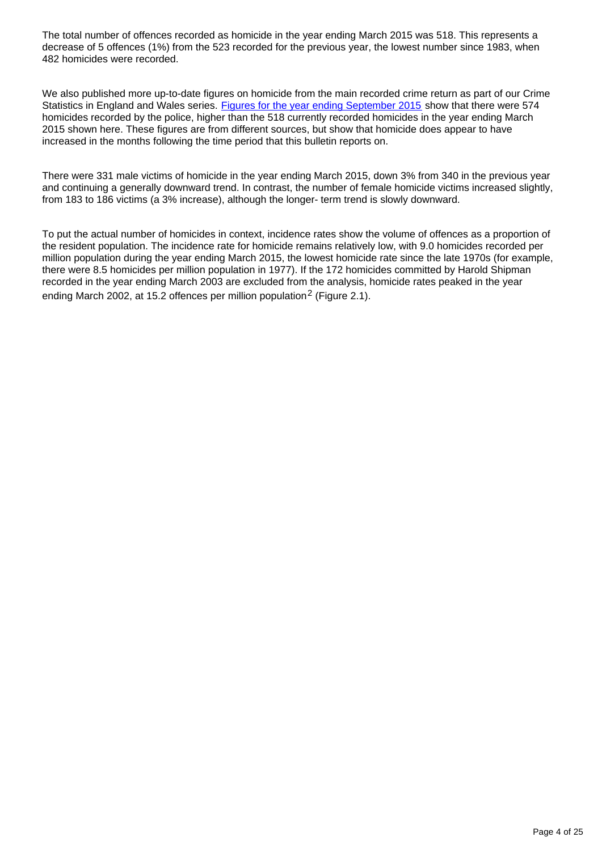The total number of offences recorded as homicide in the year ending March 2015 was 518. This represents a decrease of 5 offences (1%) from the 523 recorded for the previous year, the lowest number since 1983, when 482 homicides were recorded.

We also published more up-to-date figures on homicide from the main recorded crime return as part of our Crime Statistics in England and Wales series. [Figures for the year ending September 2015](http://www.ons.gov.uk/ons/rel/crime-stats/crime-statistics/crime-in-england-and-wales---year-ending-september-2015/index.html) show that there were 574 homicides recorded by the police, higher than the 518 currently recorded homicides in the year ending March 2015 shown here. These figures are from different sources, but show that homicide does appear to have increased in the months following the time period that this bulletin reports on.

There were 331 male victims of homicide in the year ending March 2015, down 3% from 340 in the previous year and continuing a generally downward trend. In contrast, the number of female homicide victims increased slightly, from 183 to 186 victims (a 3% increase), although the longer- term trend is slowly downward.

To put the actual number of homicides in context, incidence rates show the volume of offences as a proportion of the resident population. The incidence rate for homicide remains relatively low, with 9.0 homicides recorded per million population during the year ending March 2015, the lowest homicide rate since the late 1970s (for example, there were 8.5 homicides per million population in 1977). If the 172 homicides committed by Harold Shipman recorded in the year ending March 2003 are excluded from the analysis, homicide rates peaked in the year ending March 2002, at 15.2 offences per million population<sup>2</sup> (Figure 2.1).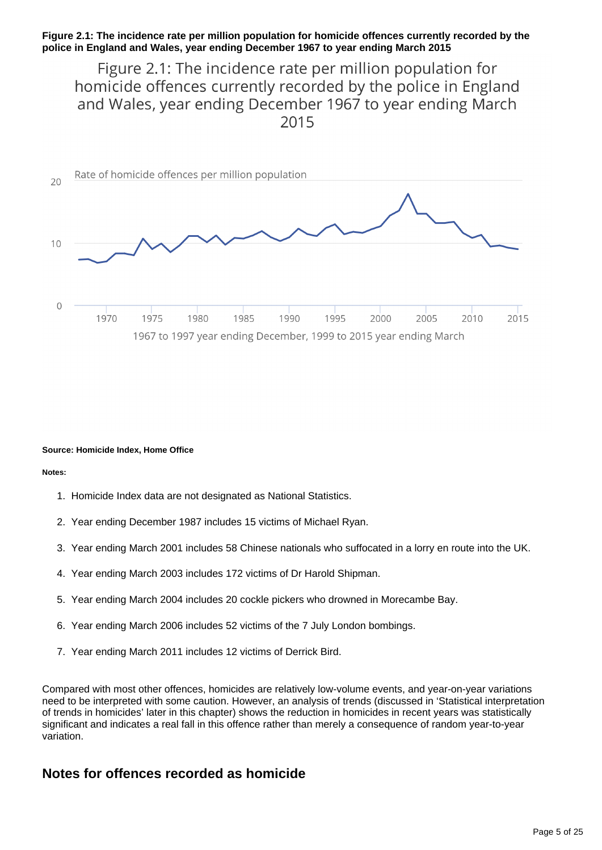### **Figure 2.1: The incidence rate per million population for homicide offences currently recorded by the police in England and Wales, year ending December 1967 to year ending March 2015**

# Figure 2.1: The incidence rate per million population for homicide offences currently recorded by the police in England and Wales, year ending December 1967 to year ending March 2015



#### **Source: Homicide Index, Home Office**

#### **Notes:**

- 1. Homicide Index data are not designated as National Statistics.
- 2. Year ending December 1987 includes 15 victims of Michael Ryan.
- 3. Year ending March 2001 includes 58 Chinese nationals who suffocated in a lorry en route into the UK.
- 4. Year ending March 2003 includes 172 victims of Dr Harold Shipman.
- 5. Year ending March 2004 includes 20 cockle pickers who drowned in Morecambe Bay.
- 6. Year ending March 2006 includes 52 victims of the 7 July London bombings.
- 7. Year ending March 2011 includes 12 victims of Derrick Bird.

Compared with most other offences, homicides are relatively low-volume events, and year-on-year variations need to be interpreted with some caution. However, an analysis of trends (discussed in 'Statistical interpretation of trends in homicides' later in this chapter) shows the reduction in homicides in recent years was statistically significant and indicates a real fall in this offence rather than merely a consequence of random year-to-year variation.

## **Notes for offences recorded as homicide**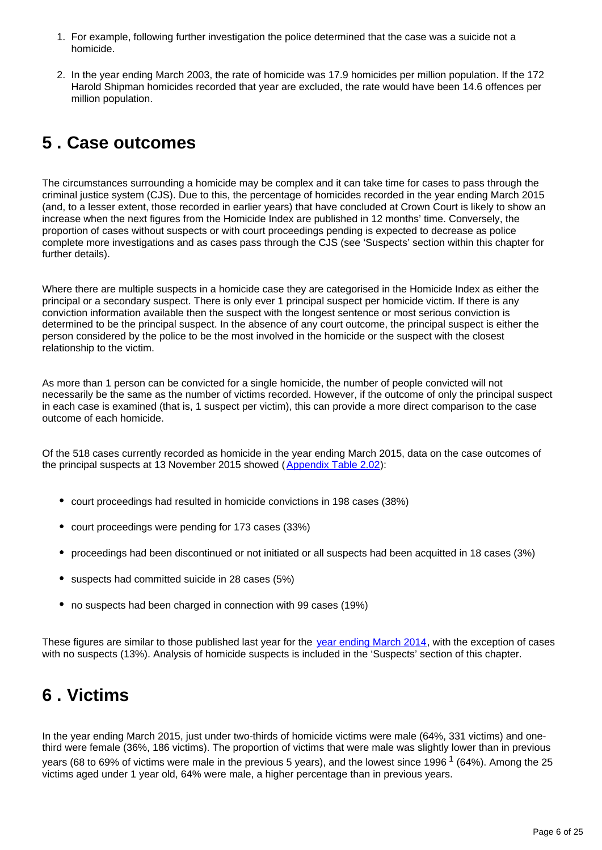- 1. For example, following further investigation the police determined that the case was a suicide not a homicide.
- 2. In the year ending March 2003, the rate of homicide was 17.9 homicides per million population. If the 172 Harold Shipman homicides recorded that year are excluded, the rate would have been 14.6 offences per million population.

# <span id="page-5-0"></span>**5 . Case outcomes**

The circumstances surrounding a homicide may be complex and it can take time for cases to pass through the criminal justice system (CJS). Due to this, the percentage of homicides recorded in the year ending March 2015 (and, to a lesser extent, those recorded in earlier years) that have concluded at Crown Court is likely to show an increase when the next figures from the Homicide Index are published in 12 months' time. Conversely, the proportion of cases without suspects or with court proceedings pending is expected to decrease as police complete more investigations and as cases pass through the CJS (see 'Suspects' section within this chapter for further details).

Where there are multiple suspects in a homicide case they are categorised in the Homicide Index as either the principal or a secondary suspect. There is only ever 1 principal suspect per homicide victim. If there is any conviction information available then the suspect with the longest sentence or most serious conviction is determined to be the principal suspect. In the absence of any court outcome, the principal suspect is either the person considered by the police to be the most involved in the homicide or the suspect with the closest relationship to the victim.

As more than 1 person can be convicted for a single homicide, the number of people convicted will not necessarily be the same as the number of victims recorded. However, if the outcome of only the principal suspect in each case is examined (that is, 1 suspect per victim), this can provide a more direct comparison to the case outcome of each homicide.

Of the 518 cases currently recorded as homicide in the year ending March 2015, data on the case outcomes of the principal suspects at 13 November 2015 showed ([Appendix Table 2.02](https://www.ons.gov.uk/peoplepopulationandcommunity/crimeandjustice/datasets/appendixtablesfocusonviolentcrimeandsexualoffences)):

- court proceedings had resulted in homicide convictions in 198 cases (38%)
- court proceedings were pending for 173 cases (33%)
- proceedings had been discontinued or not initiated or all suspects had been acquitted in 18 cases (3%)
- suspects had committed suicide in 28 cases (5%)
- no suspects had been charged in connection with 99 cases (19%)

These figures are similar to those published last year for the [year ending March 2014](http://www.ons.gov.uk/ons/rel/crime-stats/crime-statistics/focus-on-violent-crime-and-sexual-offences--2013-14/index.html), with the exception of cases with no suspects (13%). Analysis of homicide suspects is included in the 'Suspects' section of this chapter.

# <span id="page-5-1"></span>**6 . Victims**

In the year ending March 2015, just under two-thirds of homicide victims were male (64%, 331 victims) and onethird were female (36%, 186 victims). The proportion of victims that were male was slightly lower than in previous years (68 to 69% of victims were male in the previous 5 years), and the lowest since 1996  $1$  (64%). Among the 25 victims aged under 1 year old, 64% were male, a higher percentage than in previous years.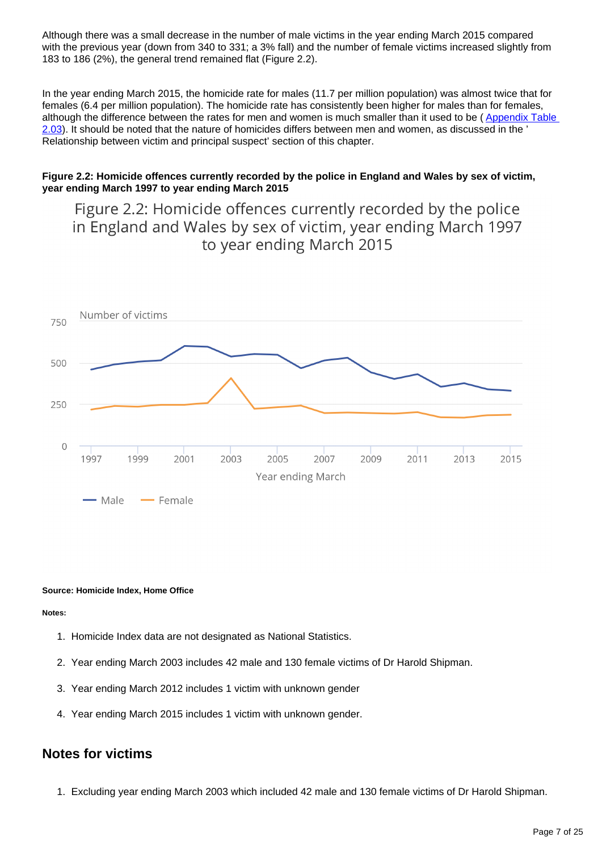Although there was a small decrease in the number of male victims in the year ending March 2015 compared with the previous year (down from 340 to 331; a 3% fall) and the number of female victims increased slightly from 183 to 186 (2%), the general trend remained flat (Figure 2.2).

In the year ending March 2015, the homicide rate for males (11.7 per million population) was almost twice that for females (6.4 per million population). The homicide rate has consistently been higher for males than for females, although the difference between the rates for men and women is much smaller than it used to be (Appendix Table [2.03](https://www.ons.gov.uk/peoplepopulationandcommunity/crimeandjustice/datasets/appendixtablesfocusonviolentcrimeandsexualoffences)). It should be noted that the nature of homicides differs between men and women, as discussed in the ' Relationship between victim and principal suspect' section of this chapter.

### **Figure 2.2: Homicide offences currently recorded by the police in England and Wales by sex of victim, year ending March 1997 to year ending March 2015**

Figure 2.2: Homicide offences currently recorded by the police in England and Wales by sex of victim, year ending March 1997 to year ending March 2015



#### **Source: Homicide Index, Home Office**

#### **Notes:**

- 1. Homicide Index data are not designated as National Statistics.
- 2. Year ending March 2003 includes 42 male and 130 female victims of Dr Harold Shipman.
- 3. Year ending March 2012 includes 1 victim with unknown gender
- 4. Year ending March 2015 includes 1 victim with unknown gender.

## **Notes for victims**

1. Excluding year ending March 2003 which included 42 male and 130 female victims of Dr Harold Shipman.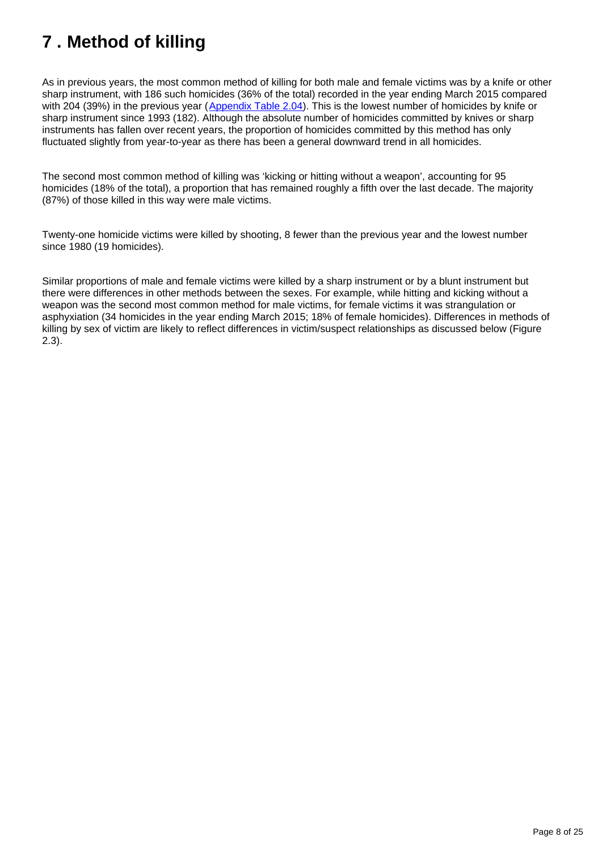# <span id="page-7-0"></span>**7 . Method of killing**

As in previous years, the most common method of killing for both male and female victims was by a knife or other sharp instrument, with 186 such homicides (36% of the total) recorded in the year ending March 2015 compared with 204 (39%) in the previous year ([Appendix Table 2.04\)](https://www.ons.gov.uk/peoplepopulationandcommunity/crimeandjustice/datasets/appendixtablesfocusonviolentcrimeandsexualoffences). This is the lowest number of homicides by knife or sharp instrument since 1993 (182). Although the absolute number of homicides committed by knives or sharp instruments has fallen over recent years, the proportion of homicides committed by this method has only fluctuated slightly from year-to-year as there has been a general downward trend in all homicides.

The second most common method of killing was 'kicking or hitting without a weapon', accounting for 95 homicides (18% of the total), a proportion that has remained roughly a fifth over the last decade. The majority (87%) of those killed in this way were male victims.

Twenty-one homicide victims were killed by shooting, 8 fewer than the previous year and the lowest number since 1980 (19 homicides).

Similar proportions of male and female victims were killed by a sharp instrument or by a blunt instrument but there were differences in other methods between the sexes. For example, while hitting and kicking without a weapon was the second most common method for male victims, for female victims it was strangulation or asphyxiation (34 homicides in the year ending March 2015; 18% of female homicides). Differences in methods of killing by sex of victim are likely to reflect differences in victim/suspect relationships as discussed below (Figure 2.3).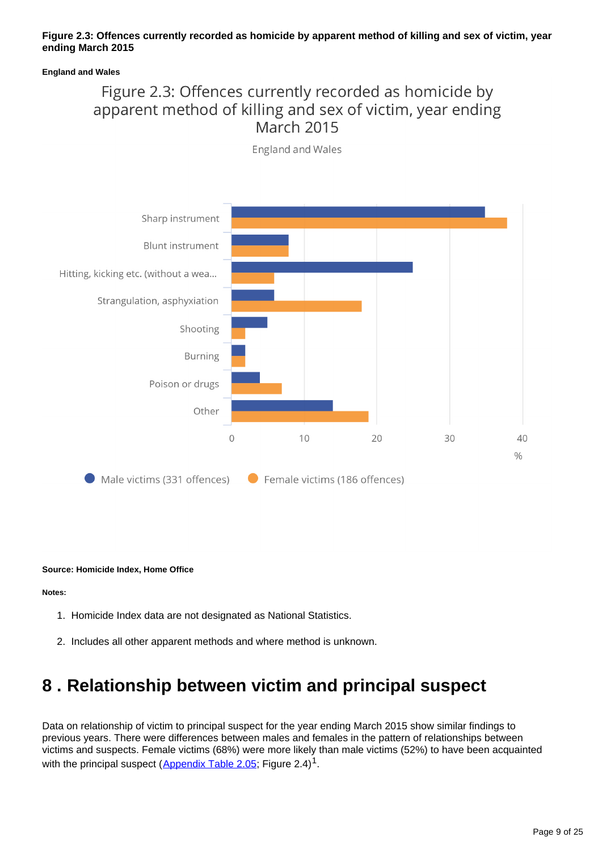### **Figure 2.3: Offences currently recorded as homicide by apparent method of killing and sex of victim, year ending March 2015**

#### **England and Wales**

# Figure 2.3: Offences currently recorded as homicide by apparent method of killing and sex of victim, year ending **March 2015**



**England and Wales** 

#### **Source: Homicide Index, Home Office**

#### **Notes:**

- 1. Homicide Index data are not designated as National Statistics.
- 2. Includes all other apparent methods and where method is unknown.

# <span id="page-8-0"></span>**8 . Relationship between victim and principal suspect**

Data on relationship of victim to principal suspect for the year ending March 2015 show similar findings to previous years. There were differences between males and females in the pattern of relationships between victims and suspects. Female victims (68%) were more likely than male victims (52%) to have been acquainted with the principal suspect ([Appendix Table 2.05;](https://www.ons.gov.uk/peoplepopulationandcommunity/crimeandjustice/datasets/appendixtablesfocusonviolentcrimeandsexualoffences) Figure 2.4)<sup>1</sup>.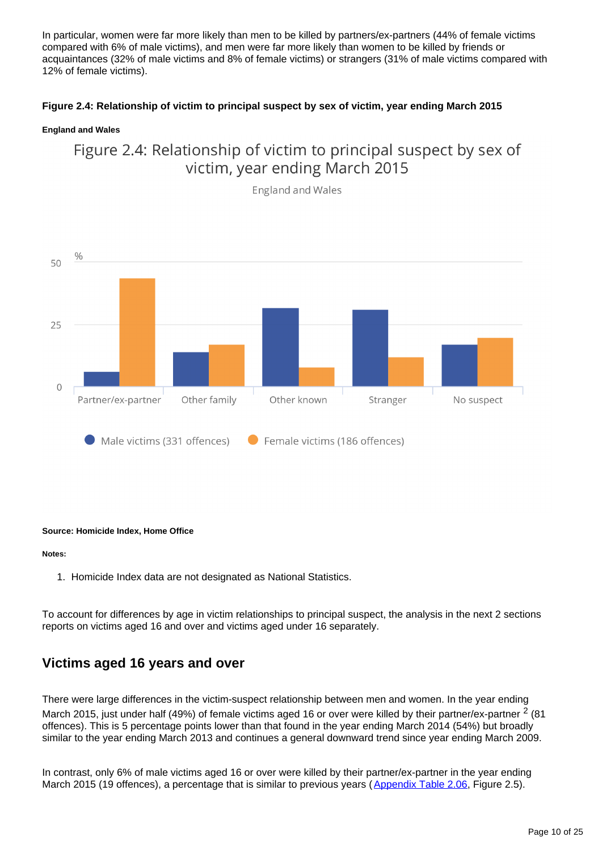In particular, women were far more likely than men to be killed by partners/ex-partners (44% of female victims compared with 6% of male victims), and men were far more likely than women to be killed by friends or acquaintances (32% of male victims and 8% of female victims) or strangers (31% of male victims compared with 12% of female victims).

## **Figure 2.4: Relationship of victim to principal suspect by sex of victim, year ending March 2015**

### **England and Wales**





**England and Wales** 

#### **Source: Homicide Index, Home Office**

#### **Notes:**

1. Homicide Index data are not designated as National Statistics.

To account for differences by age in victim relationships to principal suspect, the analysis in the next 2 sections reports on victims aged 16 and over and victims aged under 16 separately.

## **Victims aged 16 years and over**

There were large differences in the victim-suspect relationship between men and women. In the year ending March 2015, just under half (49%) of female victims aged 16 or over were killed by their partner/ex-partner  $2$  (81 offences). This is 5 percentage points lower than that found in the year ending March 2014 (54%) but broadly similar to the year ending March 2013 and continues a general downward trend since year ending March 2009.

In contrast, only 6% of male victims aged 16 or over were killed by their partner/ex-partner in the year ending March 2015 (19 offences), a percentage that is similar to previous years ([Appendix Table 2.06](https://www.ons.gov.uk/peoplepopulationandcommunity/crimeandjustice/datasets/appendixtablesfocusonviolentcrimeandsexualoffences), Figure 2.5).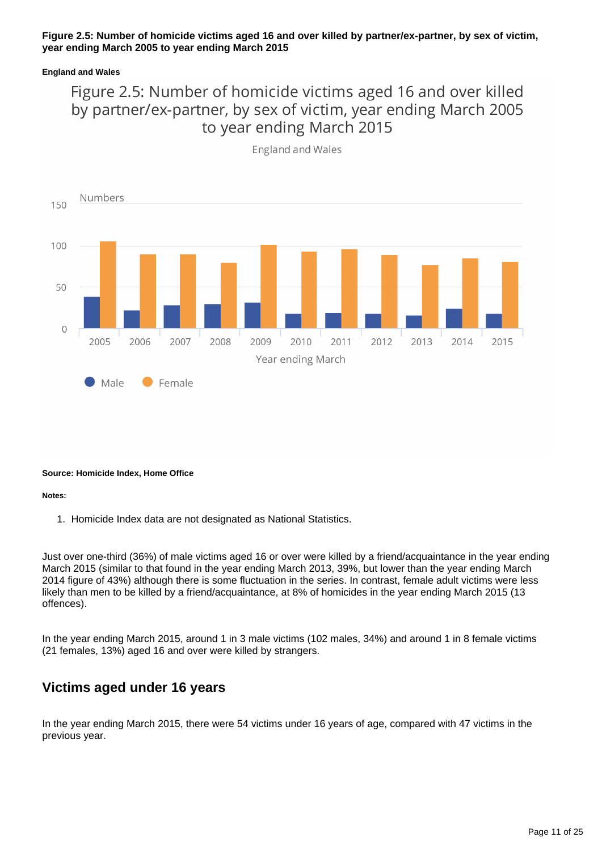## **Figure 2.5: Number of homicide victims aged 16 and over killed by partner/ex-partner, by sex of victim, year ending March 2005 to year ending March 2015**

### **England and Wales**

# Figure 2.5: Number of homicide victims aged 16 and over killed by partner/ex-partner, by sex of victim, year ending March 2005 to year ending March 2015



**England and Wales** 

### **Source: Homicide Index, Home Office**

#### **Notes:**

1. Homicide Index data are not designated as National Statistics.

Just over one-third (36%) of male victims aged 16 or over were killed by a friend/acquaintance in the year ending March 2015 (similar to that found in the year ending March 2013, 39%, but lower than the year ending March 2014 figure of 43%) although there is some fluctuation in the series. In contrast, female adult victims were less likely than men to be killed by a friend/acquaintance, at 8% of homicides in the year ending March 2015 (13 offences).

In the year ending March 2015, around 1 in 3 male victims (102 males, 34%) and around 1 in 8 female victims (21 females, 13%) aged 16 and over were killed by strangers.

## **Victims aged under 16 years**

In the year ending March 2015, there were 54 victims under 16 years of age, compared with 47 victims in the previous year.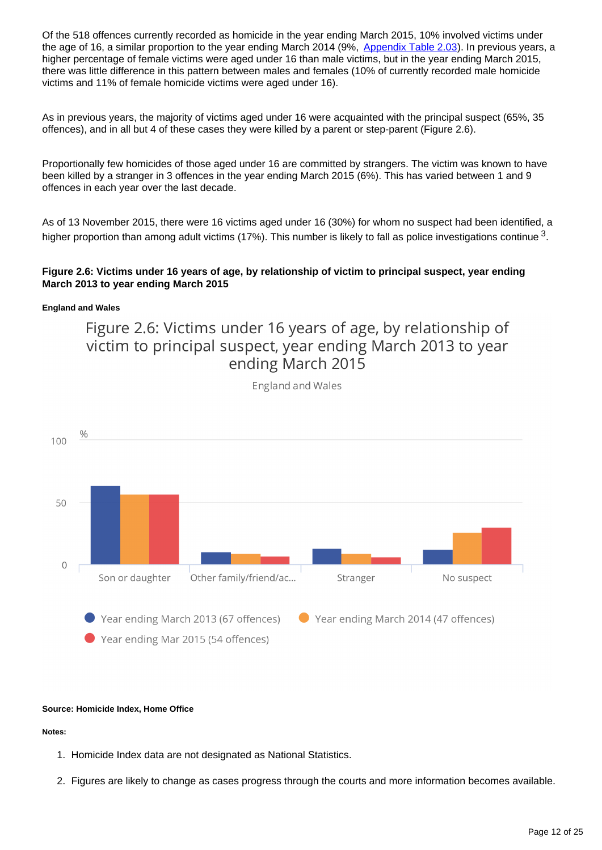Of the 518 offences currently recorded as homicide in the year ending March 2015, 10% involved victims under the age of 16, a similar proportion to the year ending March 2014 (9%, [Appendix Table 2.03](https://www.ons.gov.uk/peoplepopulationandcommunity/crimeandjustice/datasets/appendixtablesfocusonviolentcrimeandsexualoffences)). In previous years, a higher percentage of female victims were aged under 16 than male victims, but in the year ending March 2015, there was little difference in this pattern between males and females (10% of currently recorded male homicide victims and 11% of female homicide victims were aged under 16).

As in previous years, the majority of victims aged under 16 were acquainted with the principal suspect (65%, 35 offences), and in all but 4 of these cases they were killed by a parent or step-parent (Figure 2.6).

Proportionally few homicides of those aged under 16 are committed by strangers. The victim was known to have been killed by a stranger in 3 offences in the year ending March 2015 (6%). This has varied between 1 and 9 offences in each year over the last decade.

As of 13 November 2015, there were 16 victims aged under 16 (30%) for whom no suspect had been identified, a higher proportion than among adult victims (17%). This number is likely to fall as police investigations continue  $^3$ .

## **Figure 2.6: Victims under 16 years of age, by relationship of victim to principal suspect, year ending March 2013 to year ending March 2015**

### **England and Wales**

Figure 2.6: Victims under 16 years of age, by relationship of victim to principal suspect, year ending March 2013 to year ending March 2015



**England and Wales** 

### **Source: Homicide Index, Home Office**

**Notes:**

- 1. Homicide Index data are not designated as National Statistics.
- 2. Figures are likely to change as cases progress through the courts and more information becomes available.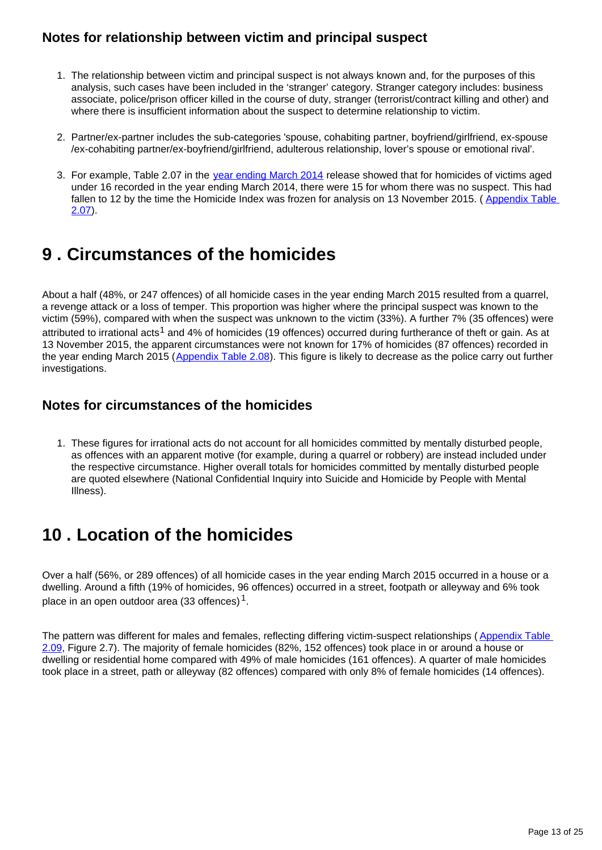## **Notes for relationship between victim and principal suspect**

- 1. The relationship between victim and principal suspect is not always known and, for the purposes of this analysis, such cases have been included in the 'stranger' category. Stranger category includes: business associate, police/prison officer killed in the course of duty, stranger (terrorist/contract killing and other) and where there is insufficient information about the suspect to determine relationship to victim.
- 2. Partner/ex-partner includes the sub-categories 'spouse, cohabiting partner, boyfriend/girlfriend, ex-spouse /ex-cohabiting partner/ex-boyfriend/girlfriend, adulterous relationship, lover's spouse or emotional rival'.
- 3. For example, Table 2.07 in the [year ending March 2014](http://www.ons.gov.uk/ons/rel/crime-stats/crime-statistics/focus-on-violent-crime-and-sexual-offences--2013-14/index.html) release showed that for homicides of victims aged under 16 recorded in the year ending March 2014, there were 15 for whom there was no suspect. This had fallen to 12 by the time the Homicide Index was frozen for analysis on 13 November 2015. ( [Appendix Table](https://www.ons.gov.uk/peoplepopulationandcommunity/crimeandjustice/datasets/appendixtablesfocusonviolentcrimeandsexualoffences)  [2.07](https://www.ons.gov.uk/peoplepopulationandcommunity/crimeandjustice/datasets/appendixtablesfocusonviolentcrimeandsexualoffences)).

# <span id="page-12-0"></span>**9 . Circumstances of the homicides**

About a half (48%, or 247 offences) of all homicide cases in the year ending March 2015 resulted from a quarrel, a revenge attack or a loss of temper. This proportion was higher where the principal suspect was known to the victim (59%), compared with when the suspect was unknown to the victim (33%). A further 7% (35 offences) were attributed to irrational acts<sup>1</sup> and 4% of homicides (19 offences) occurred during furtherance of theft or gain. As at 13 November 2015, the apparent circumstances were not known for 17% of homicides (87 offences) recorded in the year ending March 2015 ([Appendix Table 2.08\)](https://www.ons.gov.uk/peoplepopulationandcommunity/crimeandjustice/datasets/appendixtablesfocusonviolentcrimeandsexualoffences). This figure is likely to decrease as the police carry out further investigations.

## **Notes for circumstances of the homicides**

1. These figures for irrational acts do not account for all homicides committed by mentally disturbed people, as offences with an apparent motive (for example, during a quarrel or robbery) are instead included under the respective circumstance. Higher overall totals for homicides committed by mentally disturbed people are quoted elsewhere (National Confidential Inquiry into Suicide and Homicide by People with Mental Illness).

# <span id="page-12-1"></span>**10 . Location of the homicides**

Over a half (56%, or 289 offences) of all homicide cases in the year ending March 2015 occurred in a house or a dwelling. Around a fifth (19% of homicides, 96 offences) occurred in a street, footpath or alleyway and 6% took place in an open outdoor area (33 offences) $^1$ .

The pattern was different for males and females, reflecting differing victim-suspect relationships (Appendix Table [2.09](https://www.ons.gov.uk/peoplepopulationandcommunity/crimeandjustice/datasets/appendixtablesfocusonviolentcrimeandsexualoffences), Figure 2.7). The majority of female homicides (82%, 152 offences) took place in or around a house or dwelling or residential home compared with 49% of male homicides (161 offences). A quarter of male homicides took place in a street, path or alleyway (82 offences) compared with only 8% of female homicides (14 offences).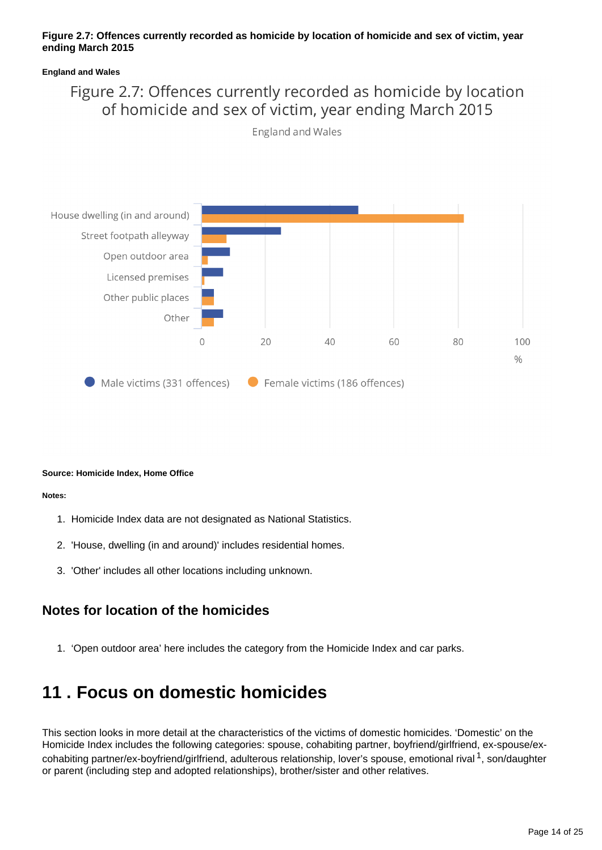## **Figure 2.7: Offences currently recorded as homicide by location of homicide and sex of victim, year ending March 2015**

### **England and Wales**

# Figure 2.7: Offences currently recorded as homicide by location of homicide and sex of victim, year ending March 2015



England and Wales

### **Source: Homicide Index, Home Office**

#### **Notes:**

- 1. Homicide Index data are not designated as National Statistics.
- 2. 'House, dwelling (in and around)' includes residential homes.
- 3. 'Other' includes all other locations including unknown.

## **Notes for location of the homicides**

1. 'Open outdoor area' here includes the category from the Homicide Index and car parks.

# <span id="page-13-0"></span>**11 . Focus on domestic homicides**

This section looks in more detail at the characteristics of the victims of domestic homicides. 'Domestic' on the Homicide Index includes the following categories: spouse, cohabiting partner, boyfriend/girlfriend, ex-spouse/excohabiting partner/ex-boyfriend/girlfriend, adulterous relationship, lover's spouse, emotional rival <sup>1</sup>, son/daughter or parent (including step and adopted relationships), brother/sister and other relatives.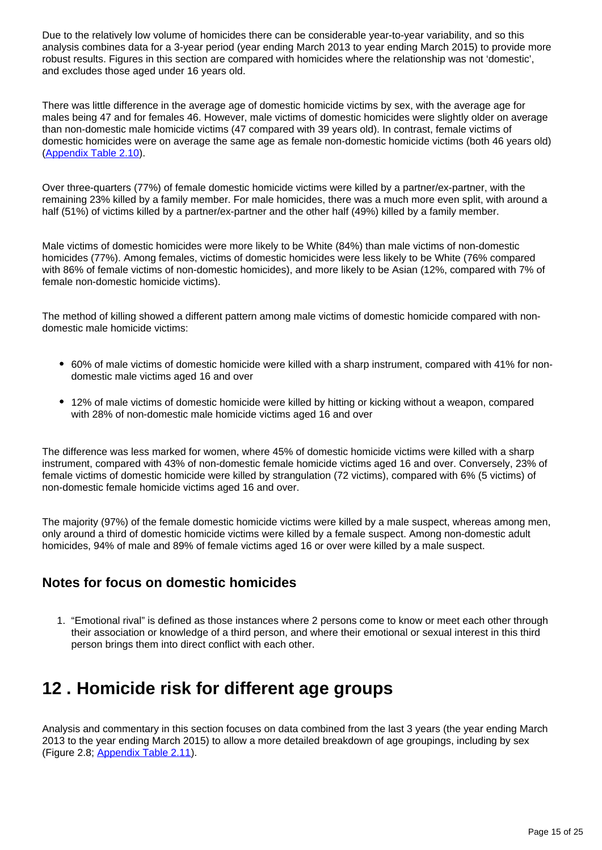Due to the relatively low volume of homicides there can be considerable year-to-year variability, and so this analysis combines data for a 3-year period (year ending March 2013 to year ending March 2015) to provide more robust results. Figures in this section are compared with homicides where the relationship was not 'domestic', and excludes those aged under 16 years old.

There was little difference in the average age of domestic homicide victims by sex, with the average age for males being 47 and for females 46. However, male victims of domestic homicides were slightly older on average than non-domestic male homicide victims (47 compared with 39 years old). In contrast, female victims of domestic homicides were on average the same age as female non-domestic homicide victims (both 46 years old) [\(Appendix Table 2.10\)](https://www.ons.gov.uk/peoplepopulationandcommunity/crimeandjustice/datasets/appendixtablesfocusonviolentcrimeandsexualoffences).

Over three-quarters (77%) of female domestic homicide victims were killed by a partner/ex-partner, with the remaining 23% killed by a family member. For male homicides, there was a much more even split, with around a half (51%) of victims killed by a partner/ex-partner and the other half (49%) killed by a family member.

Male victims of domestic homicides were more likely to be White (84%) than male victims of non-domestic homicides (77%). Among females, victims of domestic homicides were less likely to be White (76% compared with 86% of female victims of non-domestic homicides), and more likely to be Asian (12%, compared with 7% of female non-domestic homicide victims).

The method of killing showed a different pattern among male victims of domestic homicide compared with nondomestic male homicide victims:

- 60% of male victims of domestic homicide were killed with a sharp instrument, compared with 41% for nondomestic male victims aged 16 and over
- 12% of male victims of domestic homicide were killed by hitting or kicking without a weapon, compared with 28% of non-domestic male homicide victims aged 16 and over

The difference was less marked for women, where 45% of domestic homicide victims were killed with a sharp instrument, compared with 43% of non-domestic female homicide victims aged 16 and over. Conversely, 23% of female victims of domestic homicide were killed by strangulation (72 victims), compared with 6% (5 victims) of non-domestic female homicide victims aged 16 and over.

The majority (97%) of the female domestic homicide victims were killed by a male suspect, whereas among men, only around a third of domestic homicide victims were killed by a female suspect. Among non-domestic adult homicides, 94% of male and 89% of female victims aged 16 or over were killed by a male suspect.

## **Notes for focus on domestic homicides**

1. "Emotional rival" is defined as those instances where 2 persons come to know or meet each other through their association or knowledge of a third person, and where their emotional or sexual interest in this third person brings them into direct conflict with each other.

# <span id="page-14-0"></span>**12 . Homicide risk for different age groups**

Analysis and commentary in this section focuses on data combined from the last 3 years (the year ending March 2013 to the year ending March 2015) to allow a more detailed breakdown of age groupings, including by sex (Figure 2.8; [Appendix Table 2.11\)](https://www.ons.gov.uk/peoplepopulationandcommunity/crimeandjustice/datasets/appendixtablesfocusonviolentcrimeandsexualoffences).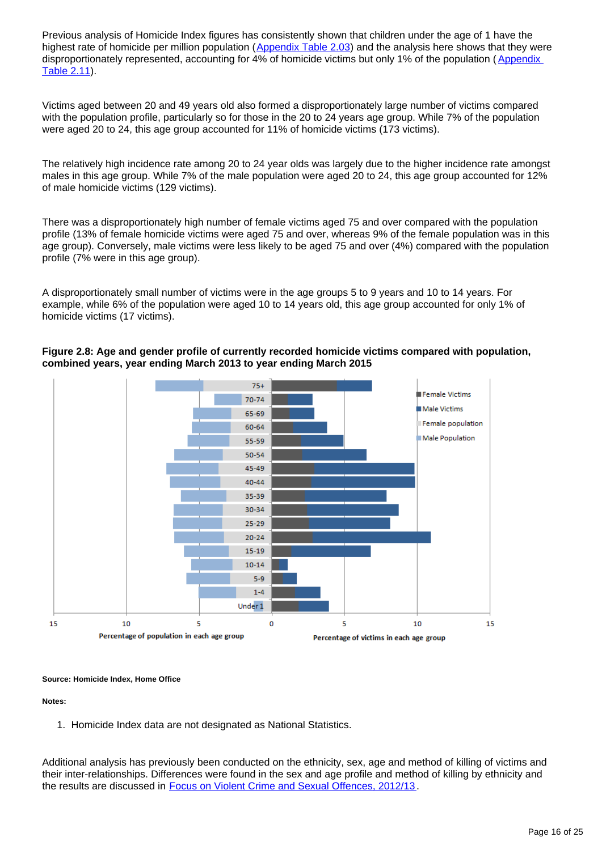Previous analysis of Homicide Index figures has consistently shown that children under the age of 1 have the highest rate of homicide per million population ([Appendix Table 2.03\)](https://www.ons.gov.uk/peoplepopulationandcommunity/crimeandjustice/datasets/appendixtablesfocusonviolentcrimeandsexualoffences) and the analysis here shows that they were disproportionately represented, accounting for 4% of homicide victims but only 1% of the population (Appendix [Table 2.11\)](https://www.ons.gov.uk/peoplepopulationandcommunity/crimeandjustice/datasets/appendixtablesfocusonviolentcrimeandsexualoffences).

Victims aged between 20 and 49 years old also formed a disproportionately large number of victims compared with the population profile, particularly so for those in the 20 to 24 years age group. While 7% of the population were aged 20 to 24, this age group accounted for 11% of homicide victims (173 victims).

The relatively high incidence rate among 20 to 24 year olds was largely due to the higher incidence rate amongst males in this age group. While 7% of the male population were aged 20 to 24, this age group accounted for 12% of male homicide victims (129 victims).

There was a disproportionately high number of female victims aged 75 and over compared with the population profile (13% of female homicide victims were aged 75 and over, whereas 9% of the female population was in this age group). Conversely, male victims were less likely to be aged 75 and over (4%) compared with the population profile (7% were in this age group).

A disproportionately small number of victims were in the age groups 5 to 9 years and 10 to 14 years. For example, while 6% of the population were aged 10 to 14 years old, this age group accounted for only 1% of homicide victims (17 victims).



## **Figure 2.8: Age and gender profile of currently recorded homicide victims compared with population, combined years, year ending March 2013 to year ending March 2015**

### **Source: Homicide Index, Home Office**

**Notes:**

1. Homicide Index data are not designated as National Statistics.

Additional analysis has previously been conducted on the ethnicity, sex, age and method of killing of victims and their inter-relationships. Differences were found in the sex and age profile and method of killing by ethnicity and the results are discussed in [Focus on Violent Crime and Sexual Offences, 2012/13](http://www.ons.gov.uk/ons/rel/crime-stats/crime-statistics/focus-on-violent-crime-and-sexual-offences--2012-13/index.html) .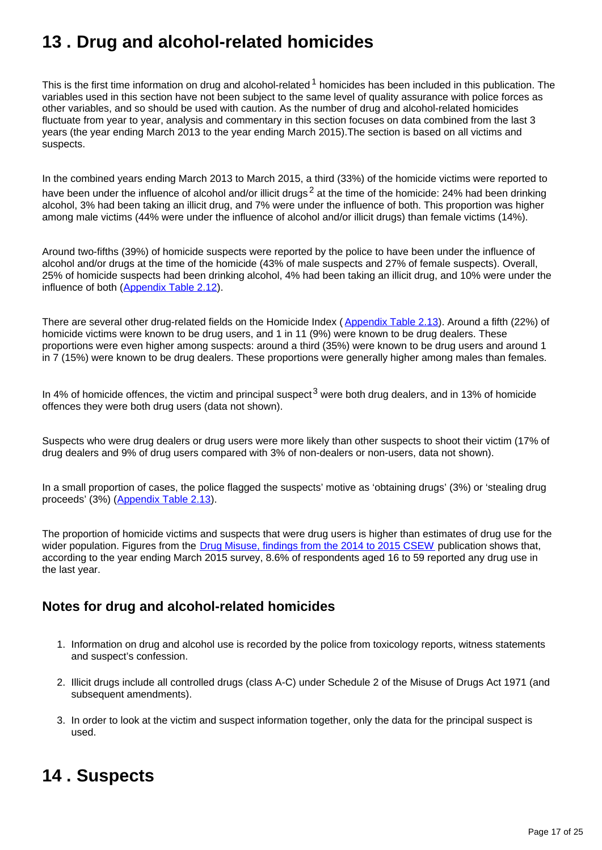# <span id="page-16-0"></span>**13 . Drug and alcohol-related homicides**

This is the first time information on drug and alcohol-related  $1$  homicides has been included in this publication. The variables used in this section have not been subject to the same level of quality assurance with police forces as other variables, and so should be used with caution. As the number of drug and alcohol-related homicides fluctuate from year to year, analysis and commentary in this section focuses on data combined from the last 3 years (the year ending March 2013 to the year ending March 2015).The section is based on all victims and suspects.

In the combined years ending March 2013 to March 2015, a third (33%) of the homicide victims were reported to have been under the influence of alcohol and/or illicit drugs<sup>2</sup> at the time of the homicide: 24% had been drinking alcohol, 3% had been taking an illicit drug, and 7% were under the influence of both. This proportion was higher among male victims (44% were under the influence of alcohol and/or illicit drugs) than female victims (14%).

Around two-fifths (39%) of homicide suspects were reported by the police to have been under the influence of alcohol and/or drugs at the time of the homicide (43% of male suspects and 27% of female suspects). Overall, 25% of homicide suspects had been drinking alcohol, 4% had been taking an illicit drug, and 10% were under the influence of both ([Appendix Table 2.12\)](https://www.ons.gov.uk/peoplepopulationandcommunity/crimeandjustice/datasets/appendixtablesfocusonviolentcrimeandsexualoffences).

There are several other drug-related fields on the Homicide Index ([Appendix Table 2.13\)](https://www.ons.gov.uk/peoplepopulationandcommunity/crimeandjustice/datasets/appendixtablesfocusonviolentcrimeandsexualoffences). Around a fifth (22%) of homicide victims were known to be drug users, and 1 in 11 (9%) were known to be drug dealers. These proportions were even higher among suspects: around a third (35%) were known to be drug users and around 1 in 7 (15%) were known to be drug dealers. These proportions were generally higher among males than females.

In 4% of homicide offences, the victim and principal suspect<sup>3</sup> were both drug dealers, and in 13% of homicide offences they were both drug users (data not shown).

Suspects who were drug dealers or drug users were more likely than other suspects to shoot their victim (17% of drug dealers and 9% of drug users compared with 3% of non-dealers or non-users, data not shown).

In a small proportion of cases, the police flagged the suspects' motive as 'obtaining drugs' (3%) or 'stealing drug proceeds' (3%) ([Appendix Table 2.13\)](https://www.ons.gov.uk/peoplepopulationandcommunity/crimeandjustice/datasets/appendixtablesfocusonviolentcrimeandsexualoffences).

The proportion of homicide victims and suspects that were drug users is higher than estimates of drug use for the wider population. Figures from the [Drug Misuse, findings from the 2014 to 2015 CSEW](https://www.gov.uk/government/collections/drug-misuse-declared) publication shows that, according to the year ending March 2015 survey, 8.6% of respondents aged 16 to 59 reported any drug use in the last year.

## **Notes for drug and alcohol-related homicides**

- 1. Information on drug and alcohol use is recorded by the police from toxicology reports, witness statements and suspect's confession.
- 2. Illicit drugs include all controlled drugs (class A-C) under Schedule 2 of the Misuse of Drugs Act 1971 (and subsequent amendments).
- 3. In order to look at the victim and suspect information together, only the data for the principal suspect is used.

# <span id="page-16-1"></span>**14 . Suspects**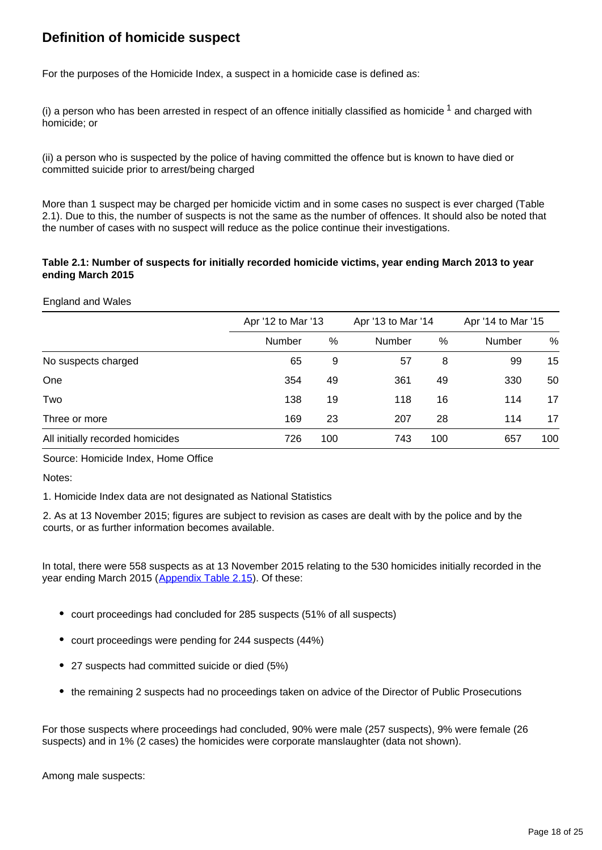## **Definition of homicide suspect**

For the purposes of the Homicide Index, a suspect in a homicide case is defined as:

(i) a person who has been arrested in respect of an offence initially classified as homicide  $1$  and charged with homicide; or

(ii) a person who is suspected by the police of having committed the offence but is known to have died or committed suicide prior to arrest/being charged

More than 1 suspect may be charged per homicide victim and in some cases no suspect is ever charged (Table 2.1). Due to this, the number of suspects is not the same as the number of offences. It should also be noted that the number of cases with no suspect will reduce as the police continue their investigations.

### **Table 2.1: Number of suspects for initially recorded homicide victims, year ending March 2013 to year ending March 2015**

### England and Wales

|                                  | Apr '12 to Mar '13 |     | Apr '13 to Mar '14 |     | Apr '14 to Mar '15 |      |
|----------------------------------|--------------------|-----|--------------------|-----|--------------------|------|
|                                  | Number             | %   | <b>Number</b>      | %   | Number             | $\%$ |
| No suspects charged              | 65                 | 9   | 57                 | 8   | 99                 | 15   |
| One                              | 354                | 49  | 361                | 49  | 330                | 50   |
| Two                              | 138                | 19  | 118                | 16  | 114                | 17   |
| Three or more                    | 169                | 23  | 207                | 28  | 114                | 17   |
| All initially recorded homicides | 726                | 100 | 743                | 100 | 657                | 100  |

### Source: Homicide Index, Home Office

Notes:

1. Homicide Index data are not designated as National Statistics

2. As at 13 November 2015; figures are subject to revision as cases are dealt with by the police and by the courts, or as further information becomes available.

In total, there were 558 suspects as at 13 November 2015 relating to the 530 homicides initially recorded in the year ending March 2015 ([Appendix Table 2.15\)](https://www.ons.gov.uk/peoplepopulationandcommunity/crimeandjustice/datasets/appendixtablesfocusonviolentcrimeandsexualoffences). Of these:

- court proceedings had concluded for 285 suspects (51% of all suspects)
- court proceedings were pending for 244 suspects (44%)
- 27 suspects had committed suicide or died (5%)
- the remaining 2 suspects had no proceedings taken on advice of the Director of Public Prosecutions

For those suspects where proceedings had concluded, 90% were male (257 suspects), 9% were female (26 suspects) and in 1% (2 cases) the homicides were corporate manslaughter (data not shown).

Among male suspects: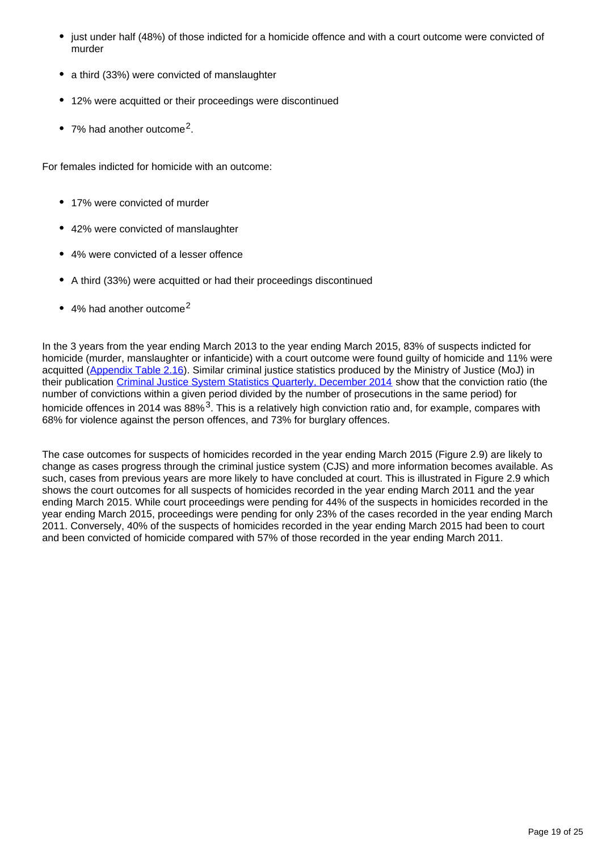- just under half (48%) of those indicted for a homicide offence and with a court outcome were convicted of murder
- a third (33%) were convicted of manslaughter
- 12% were acquitted or their proceedings were discontinued
- 7% had another outcome<sup>2</sup>.

For females indicted for homicide with an outcome:

- 17% were convicted of murder
- 42% were convicted of manslaughter
- 4% were convicted of a lesser offence
- A third (33%) were acquitted or had their proceedings discontinued
- 4% had another outcome<sup>2</sup>

In the 3 years from the year ending March 2013 to the year ending March 2015, 83% of suspects indicted for homicide (murder, manslaughter or infanticide) with a court outcome were found guilty of homicide and 11% were acquitted ([Appendix Table 2.16\)](https://www.ons.gov.uk/peoplepopulationandcommunity/crimeandjustice/datasets/appendixtablesfocusonviolentcrimeandsexualoffences). Similar criminal justice statistics produced by the Ministry of Justice (MoJ) in their publication [Criminal Justice System Statistics Quarterly, December 2014](https://www.gov.uk/government/statistics/criminal-justice-system-statistics-quarterly-december-2014) show that the conviction ratio (the number of convictions within a given period divided by the number of prosecutions in the same period) for homicide offences in 2014 was  $88\%$ <sup>3</sup>. This is a relatively high conviction ratio and, for example, compares with 68% for violence against the person offences, and 73% for burglary offences.

The case outcomes for suspects of homicides recorded in the year ending March 2015 (Figure 2.9) are likely to change as cases progress through the criminal justice system (CJS) and more information becomes available. As such, cases from previous years are more likely to have concluded at court. This is illustrated in Figure 2.9 which shows the court outcomes for all suspects of homicides recorded in the year ending March 2011 and the year ending March 2015. While court proceedings were pending for 44% of the suspects in homicides recorded in the year ending March 2015, proceedings were pending for only 23% of the cases recorded in the year ending March 2011. Conversely, 40% of the suspects of homicides recorded in the year ending March 2015 had been to court and been convicted of homicide compared with 57% of those recorded in the year ending March 2011.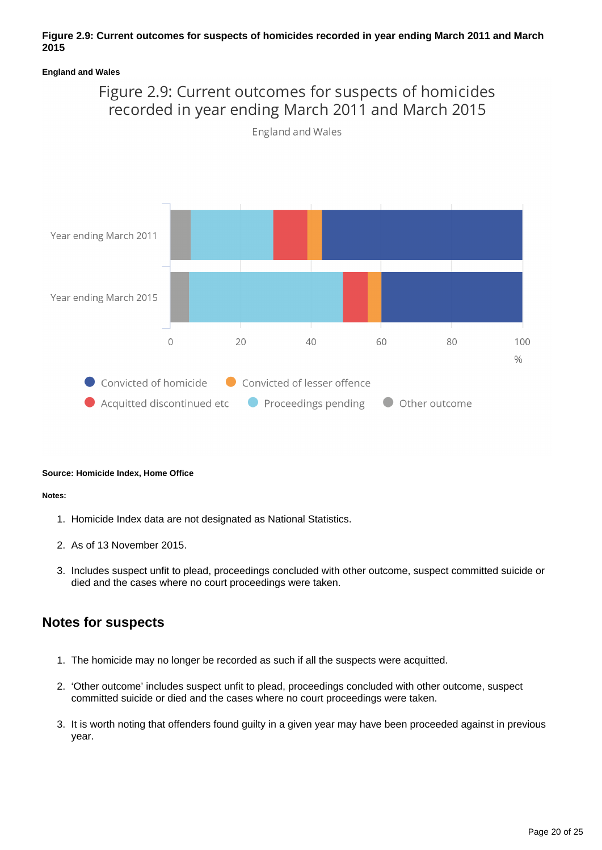## **Figure 2.9: Current outcomes for suspects of homicides recorded in year ending March 2011 and March 2015**

### **England and Wales**



## **Source: Homicide Index, Home Office**

### **Notes:**

- 1. Homicide Index data are not designated as National Statistics.
- 2. As of 13 November 2015.
- 3. Includes suspect unfit to plead, proceedings concluded with other outcome, suspect committed suicide or died and the cases where no court proceedings were taken.

## **Notes for suspects**

- 1. The homicide may no longer be recorded as such if all the suspects were acquitted.
- 2. 'Other outcome' includes suspect unfit to plead, proceedings concluded with other outcome, suspect committed suicide or died and the cases where no court proceedings were taken.
- 3. It is worth noting that offenders found guilty in a given year may have been proceeded against in previous year.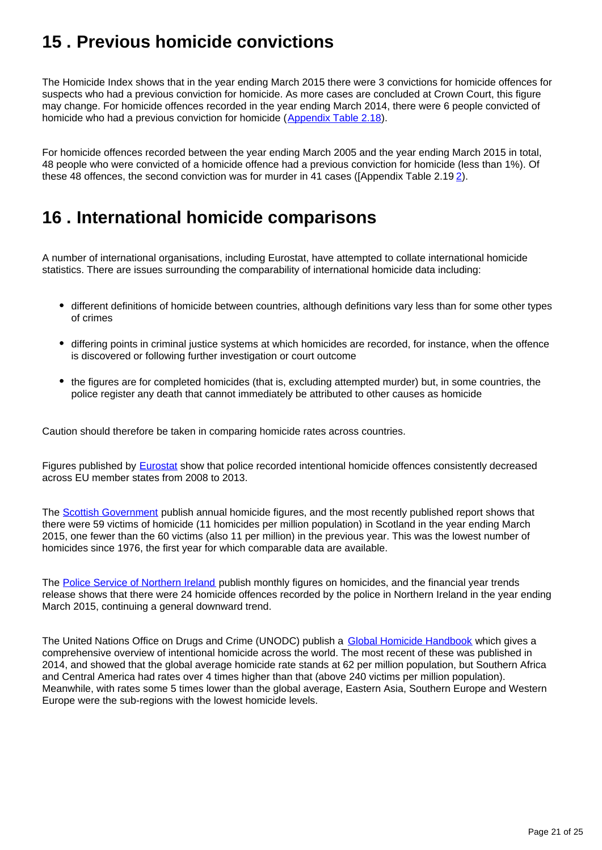# <span id="page-20-0"></span>**15 . Previous homicide convictions**

The Homicide Index shows that in the year ending March 2015 there were 3 convictions for homicide offences for suspects who had a previous conviction for homicide. As more cases are concluded at Crown Court, this figure may change. For homicide offences recorded in the year ending March 2014, there were 6 people convicted of homicide who had a previous conviction for homicide ([Appendix Table 2.18](https://www.ons.gov.uk/peoplepopulationandcommunity/crimeandjustice/datasets/appendixtablesfocusonviolentcrimeandsexualoffences)).

For homicide offences recorded between the year ending March 2005 and the year ending March 2015 in total, 48 people who were convicted of a homicide offence had a previous conviction for homicide (less than 1%). Of these 48 offences, the second conviction was for murder in 41 cases ([Appendix Table 2.19 [2\)](https://www.ons.gov.uk/peoplepopulationandcommunity/crimeandjustice/datasets/appendixtablesfocusonviolentcrimeandsexualoffences).

# <span id="page-20-1"></span>**16 . International homicide comparisons**

A number of international organisations, including Eurostat, have attempted to collate international homicide statistics. There are issues surrounding the comparability of international homicide data including:

- different definitions of homicide between countries, although definitions vary less than for some other types of crimes
- differing points in criminal justice systems at which homicides are recorded, for instance, when the offence is discovered or following further investigation or court outcome
- the figures are for completed homicides (that is, excluding attempted murder) but, in some countries, the police register any death that cannot immediately be attributed to other causes as homicide

Caution should therefore be taken in comparing homicide rates across countries.

Figures published by **Eurostat** show that police recorded intentional homicide offences consistently decreased across EU member states from 2008 to 2013.

The [Scottish Government](http://www.gov.scot/Publications/2015/09/8172/0) publish annual homicide figures, and the most recently published report shows that there were 59 victims of homicide (11 homicides per million population) in Scotland in the year ending March 2015, one fewer than the 60 victims (also 11 per million) in the previous year. This was the lowest number of homicides since 1976, the first year for which comparable data are available.

The [Police Service of Northern Ireland](http://www.psni.police.uk/index/updates/updates_statistics/updates_crime_statistics.htm) publish monthly figures on homicides, and the financial year trends release shows that there were 24 homicide offences recorded by the police in Northern Ireland in the year ending March 2015, continuing a general downward trend.

The United Nations Office on Drugs and Crime (UNODC) publish a [Global Homicide Handbook](http://www.unodc.org/documents/gsh/pdfs/2014_GLOBAL_HOMICIDE_BOOK_web.pdf) which gives a comprehensive overview of intentional homicide across the world. The most recent of these was published in 2014, and showed that the global average homicide rate stands at 62 per million population, but Southern Africa and Central America had rates over 4 times higher than that (above 240 victims per million population). Meanwhile, with rates some 5 times lower than the global average, Eastern Asia, Southern Europe and Western Europe were the sub-regions with the lowest homicide levels.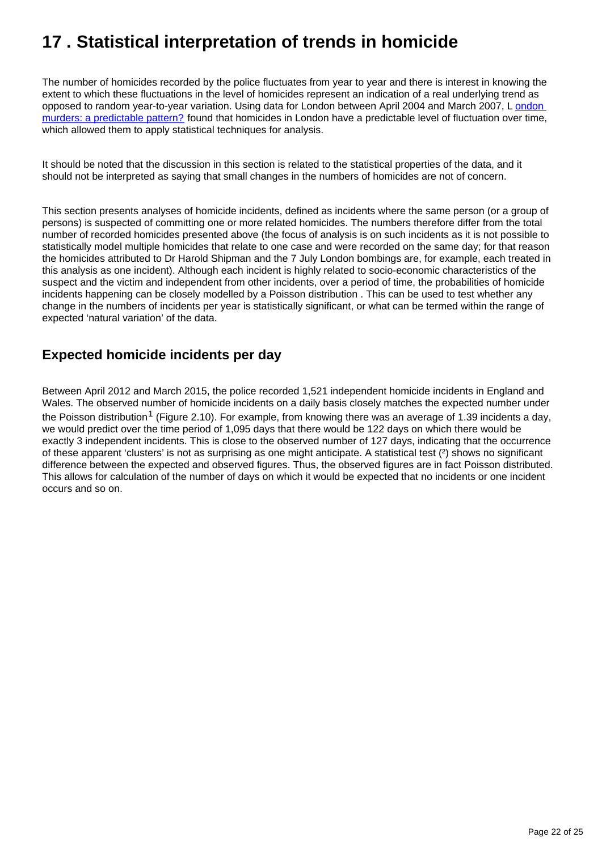# <span id="page-21-0"></span>**17 . Statistical interpretation of trends in homicide**

The number of homicides recorded by the police fluctuates from year to year and there is interest in knowing the extent to which these fluctuations in the level of homicides represent an indication of a real underlying trend as opposed to random year-to-year variation. Using data for London between April 2004 and March 2007, L [ondon](http://understandinguncertainty.org/files/significance-murders.pdf)  [murders: a predictable pattern?](http://understandinguncertainty.org/files/significance-murders.pdf) found that homicides in London have a predictable level of fluctuation over time, which allowed them to apply statistical techniques for analysis.

It should be noted that the discussion in this section is related to the statistical properties of the data, and it should not be interpreted as saying that small changes in the numbers of homicides are not of concern.

This section presents analyses of homicide incidents, defined as incidents where the same person (or a group of persons) is suspected of committing one or more related homicides. The numbers therefore differ from the total number of recorded homicides presented above (the focus of analysis is on such incidents as it is not possible to statistically model multiple homicides that relate to one case and were recorded on the same day; for that reason the homicides attributed to Dr Harold Shipman and the 7 July London bombings are, for example, each treated in this analysis as one incident). Although each incident is highly related to socio-economic characteristics of the suspect and the victim and independent from other incidents, over a period of time, the probabilities of homicide incidents happening can be closely modelled by a Poisson distribution . This can be used to test whether any change in the numbers of incidents per year is statistically significant, or what can be termed within the range of expected 'natural variation' of the data.

## **Expected homicide incidents per day**

Between April 2012 and March 2015, the police recorded 1,521 independent homicide incidents in England and Wales. The observed number of homicide incidents on a daily basis closely matches the expected number under the Poisson distribution<sup>1</sup> (Figure 2.10). For example, from knowing there was an average of 1.39 incidents a day, we would predict over the time period of 1,095 days that there would be 122 days on which there would be exactly 3 independent incidents. This is close to the observed number of 127 days, indicating that the occurrence of these apparent 'clusters' is not as surprising as one might anticipate. A statistical test (²) shows no significant difference between the expected and observed figures. Thus, the observed figures are in fact Poisson distributed. This allows for calculation of the number of days on which it would be expected that no incidents or one incident occurs and so on.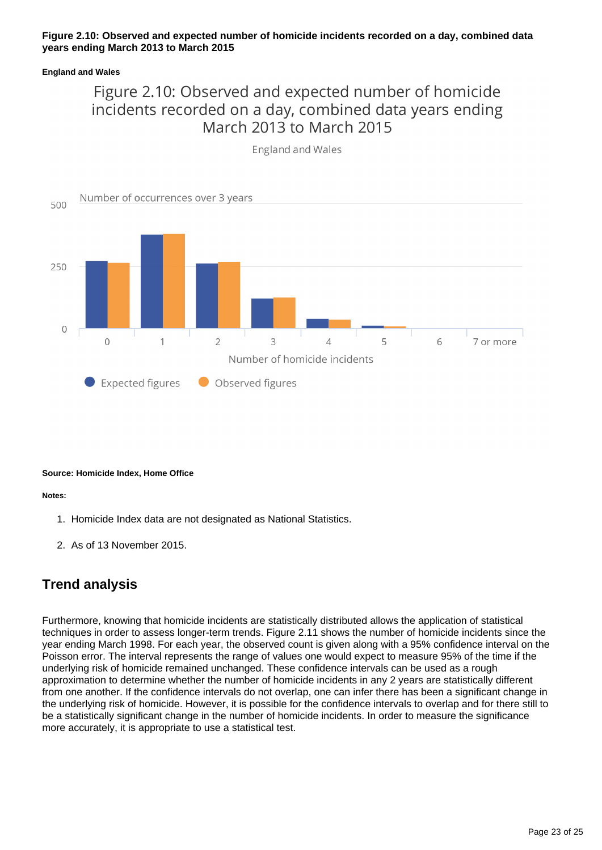### **Figure 2.10: Observed and expected number of homicide incidents recorded on a day, combined data years ending March 2013 to March 2015**

### **England and Wales**

# Figure 2.10: Observed and expected number of homicide incidents recorded on a day, combined data years ending March 2013 to March 2015



**England and Wales** 

### **Source: Homicide Index, Home Office**

#### **Notes:**

- 1. Homicide Index data are not designated as National Statistics.
- 2. As of 13 November 2015.

## **Trend analysis**

Furthermore, knowing that homicide incidents are statistically distributed allows the application of statistical techniques in order to assess longer-term trends. Figure 2.11 shows the number of homicide incidents since the year ending March 1998. For each year, the observed count is given along with a 95% confidence interval on the Poisson error. The interval represents the range of values one would expect to measure 95% of the time if the underlying risk of homicide remained unchanged. These confidence intervals can be used as a rough approximation to determine whether the number of homicide incidents in any 2 years are statistically different from one another. If the confidence intervals do not overlap, one can infer there has been a significant change in the underlying risk of homicide. However, it is possible for the confidence intervals to overlap and for there still to be a statistically significant change in the number of homicide incidents. In order to measure the significance more accurately, it is appropriate to use a statistical test.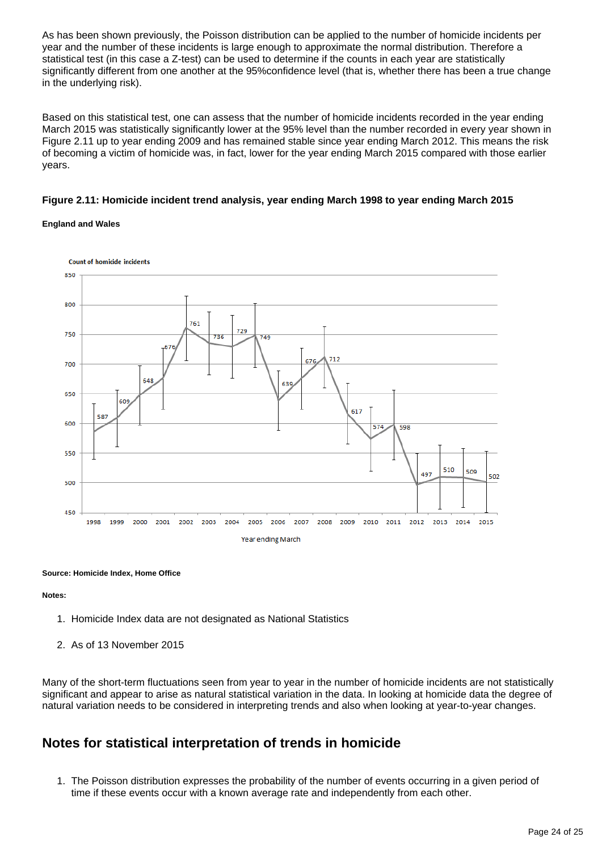As has been shown previously, the Poisson distribution can be applied to the number of homicide incidents per year and the number of these incidents is large enough to approximate the normal distribution. Therefore a statistical test (in this case a Z-test) can be used to determine if the counts in each year are statistically significantly different from one another at the 95%confidence level (that is, whether there has been a true change in the underlying risk).

Based on this statistical test, one can assess that the number of homicide incidents recorded in the year ending March 2015 was statistically significantly lower at the 95% level than the number recorded in every year shown in Figure 2.11 up to year ending 2009 and has remained stable since year ending March 2012. This means the risk of becoming a victim of homicide was, in fact, lower for the year ending March 2015 compared with those earlier years.

### **Figure 2.11: Homicide incident trend analysis, year ending March 1998 to year ending March 2015**

#### **England and Wales**



#### **Source: Homicide Index, Home Office**

#### **Notes:**

- 1. Homicide Index data are not designated as National Statistics
- 2. As of 13 November 2015

Many of the short-term fluctuations seen from year to year in the number of homicide incidents are not statistically significant and appear to arise as natural statistical variation in the data. In looking at homicide data the degree of natural variation needs to be considered in interpreting trends and also when looking at year-to-year changes.

## **Notes for statistical interpretation of trends in homicide**

1. The Poisson distribution expresses the probability of the number of events occurring in a given period of time if these events occur with a known average rate and independently from each other.